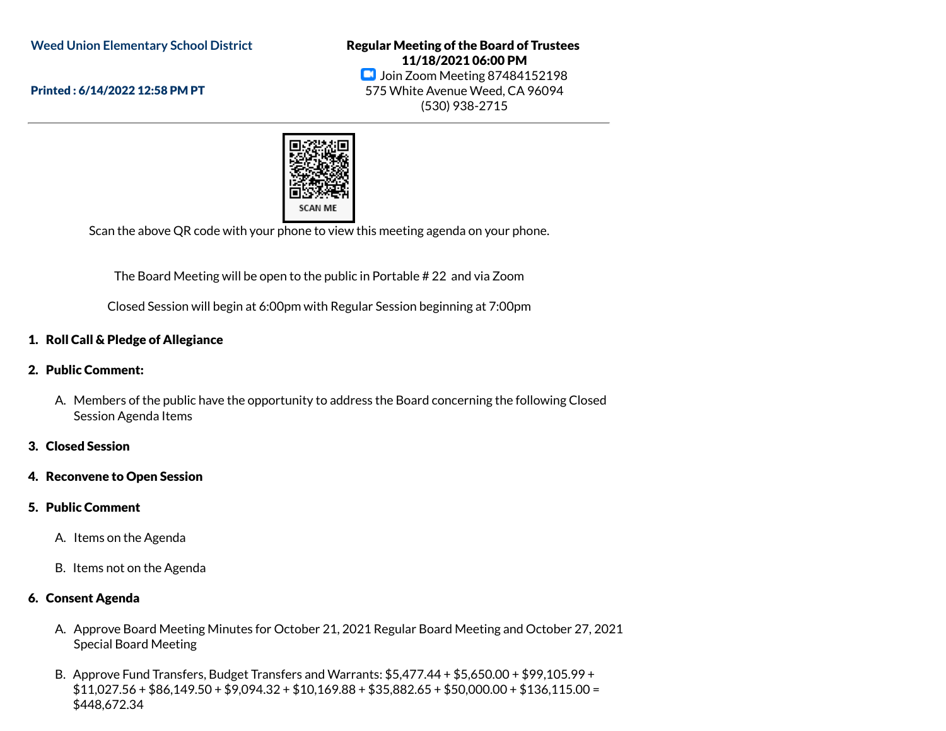**Weed Union Elementary School District**

Printed : 6/14/2022 12:58 PM PT

Regular Meeting of the Board of Trustees 11/18/2021 06:00 PM **D** Join Zoom Meeting 87484152198 575 White Avenue Weed, CA 96094 (530) 938-2715



Scan the above QR code with your phone to view this meeting agenda on your phone.

The Board Meeting will be open to the public in Portable # 22 and via Zoom

Closed Session will begin at 6:00pm with Regular Session beginning at 7:00pm

# 1. Roll Call & Pledge of Allegiance

- 2. Public Comment:
	- A. Members of the public have the opportunity to address the Board concerning the following Closed Session Agenda Items
- 3. Closed Session
- 4. Reconvene to Open Session
- 5. Public Comment
	- A. Items on the Agenda
	- B. Items not on the Agenda

## 6. Consent Agenda

- A. Approve Board Meeting Minutes for October 21, 2021 Regular Board Meeting and October 27, 2021 Special Board Meeting
- B. Approve Fund Transfers, Budget Transfers and Warrants: \$5,477.44 + \$5,650.00 + \$99,105.99 + \$11,027.56 + \$86,149.50 + \$9,094.32 + \$10,169.88 + \$35,882.65 + \$50,000.00 + \$136,115.00 = \$448,672.34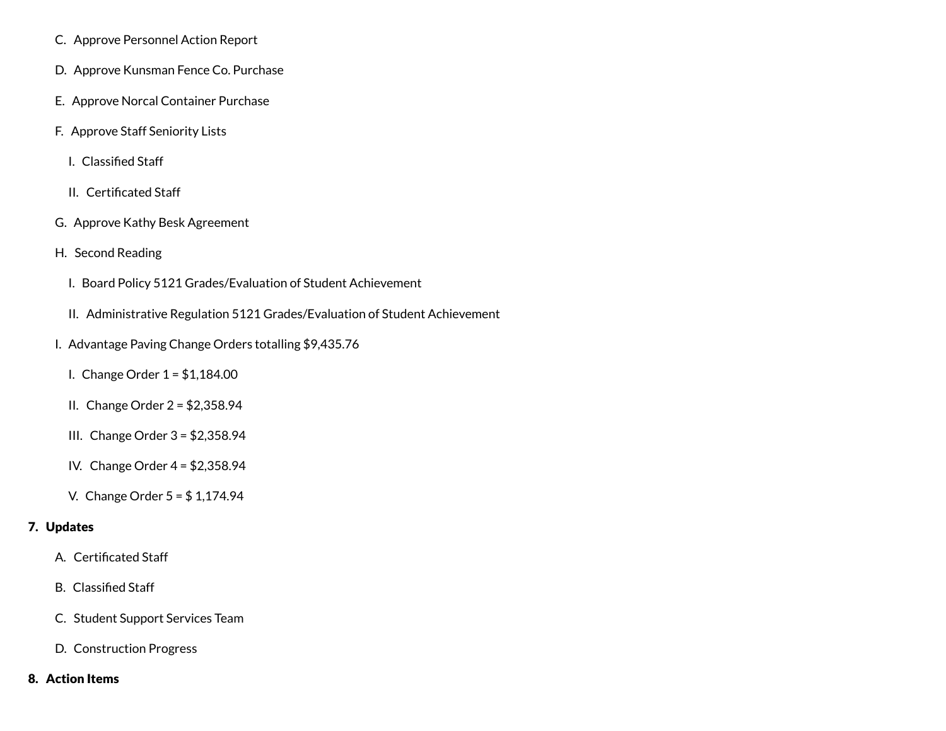- C. Approve Personnel Action Report
- D. Approve Kunsman Fence Co. Purchase
- E. Approve Norcal Container Purchase
- F. Approve Staff Seniority Lists
	- I. Classified Staff
	- II. Certificated Staff
- G. Approve Kathy Besk Agreement
- H. Second Reading
	- I. Board Policy 5121 Grades/Evaluation of Student Achievement
	- II. Administrative Regulation 5121 Grades/Evaluation of Student Achievement
- I. Advantage Paving Change Orders totalling \$9,435.76
	- I. Change Order 1 = \$1,184.00
	- II. Change Order 2 = \$2,358.94
	- III. Change Order 3 = \$2,358.94
	- IV. Change Order 4 = \$2,358.94
	- V. Change Order 5 = \$ 1,174.94

### 7. Updates

- A. Certificated Staff
- B. Classified Staff
- C. Student Support Services Team
- D. Construction Progress

### 8. Action Items